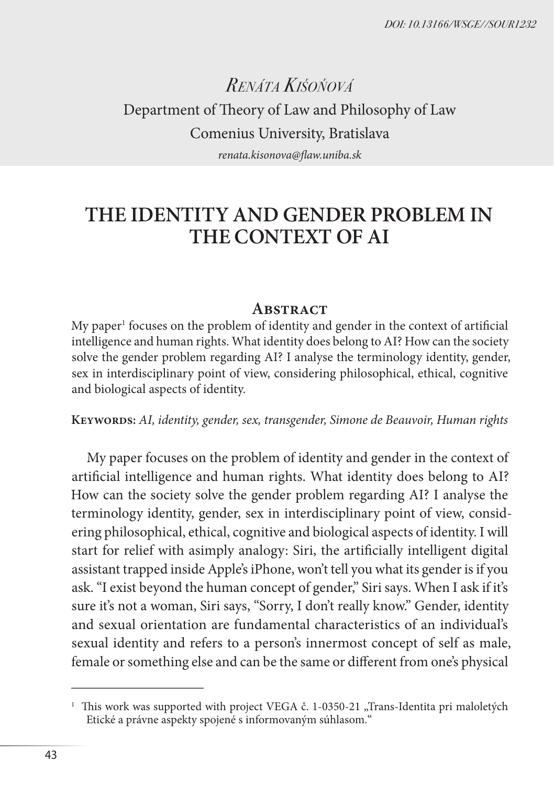*DOI: 10.13166/WSGE//SOUR1232*

# *Renáta Kišoňová* Department of Theory of Law and Philosophy of Law Comenius University, Bratislava *renata.kisonova@flaw.uniba.sk*

# **THE IDENTITY AND GENDER PROBLEM IN THE CONTEXT OF AI**

#### **Abstract**

 $My$  paper $^1$  focuses on the problem of identity and gender in the context of artificial intelligence and human rights. What identity does belong to AI? How can the society solve the gender problem regarding AI? I analyse the terminology identity, gender, sex in interdisciplinary point of view, considering philosophical, ethical, cognitive and biological aspects of identity.

**Keywords:** *AI, identity, gender, sex, transgender, Simone de Beauvoir, Human rights*

My paper focuses on the problem of identity and gender in the context of artificial intelligence and human rights. What identity does belong to AI? How can the society solve the gender problem regarding AI? I analyse the terminology identity, gender, sex in interdisciplinary point of view, considering philosophical, ethical, cognitive and biological aspects of identity. I will start for relief with asimply analogy: Siri, the artificially intelligent digital assistant trapped inside Apple's iPhone, won't tell you what its gender is if you ask. "I exist beyond the human concept of gender," Siri says. When I ask if it's sure it's not a woman, Siri says, "Sorry, I don't really know." Gender, identity and sexual orientation are fundamental characteristics of an individual's sexual identity and refers to a person's innermost concept of self as male, female or something else and can be the same or different from one's physical

<sup>&</sup>lt;sup>1</sup> This work was supported with project VEGA č. 1-0350-21 "Trans-Identita pri maloletých Etické a právne aspekty spojené s informovaným súhlasom."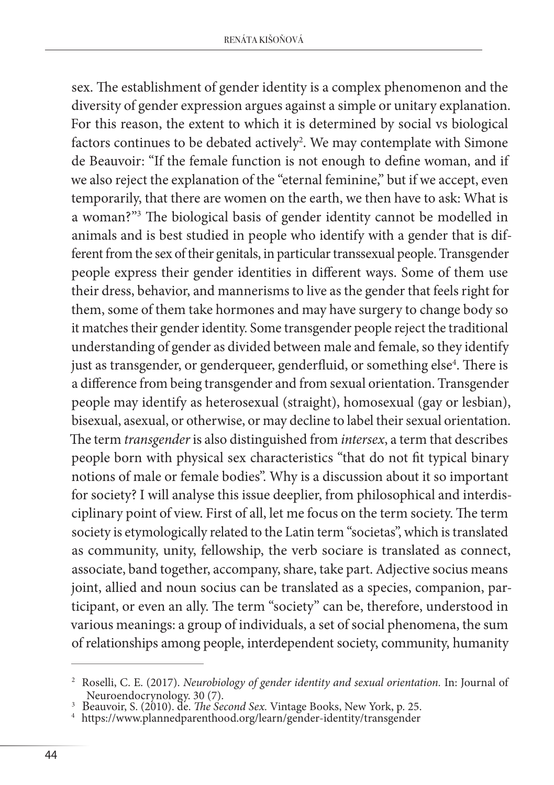sex. The establishment of gender identity is a complex phenomenon and the diversity of gender expression argues against a simple or unitary explanation. For this reason, the extent to which it is determined by social vs biological factors continues to be debated actively<sup>2</sup>. We may contemplate with Simone de Beauvoir: "If the female function is not enough to define woman, and if we also reject the explanation of the "eternal feminine," but if we accept, even temporarily, that there are women on the earth, we then have to ask: What is a woman?"3 The biological basis of gender identity cannot be modelled in animals and is best studied in people who identify with a gender that is different from the sex of their genitals, in particular transsexual people. Transgender people express their gender identities in different ways. Some of them use their dress, behavior, and mannerisms to live as the gender that feels right for them, some of them take hormones and may have surgery to change body so it matches their gender identity. Some transgender people reject the traditional understanding of gender as divided between male and female, so they identify just as transgender, or genderqueer, genderfluid, or something else<sup>4</sup>. There is a difference from being transgender and from sexual orientation. Transgender people may identify as heterosexual (straight), homosexual (gay or lesbian), bisexual, asexual, or otherwise, or may decline to label their sexual orientation. The term *transgender* is also distinguished from *intersex*, a term that describes people born with physical sex characteristics "that do not fit typical binary notions of male or female bodies". Why is a discussion about it so important for society? I will analyse this issue deeplier, from philosophical and interdisciplinary point of view. First of all, let me focus on the term society. The term society is etymologically related to the Latin term "societas", which is translated as community, unity, fellowship, the verb sociare is translated as connect, associate, band together, accompany, share, take part. Adjective socius means joint, allied and noun socius can be translated as a species, companion, participant, or even an ally. The term "society" can be, therefore, understood in various meanings: a group of individuals, a set of social phenomena, the sum of relationships among people, interdependent society, community, humanity

<sup>2</sup> Roselli, C. E. (2017). *Neurobiology of gender identity and sexual orientation.* In: Journal of Neuroendocrynology. 30 (7).<br><sup>3</sup> Beauvoir, S. (2010). de. *The Second Sex.* Vintage Books, New York, p. 25.<br><sup>4</sup> https://www.plannedparenthood.org/learn/gender-identity/transgender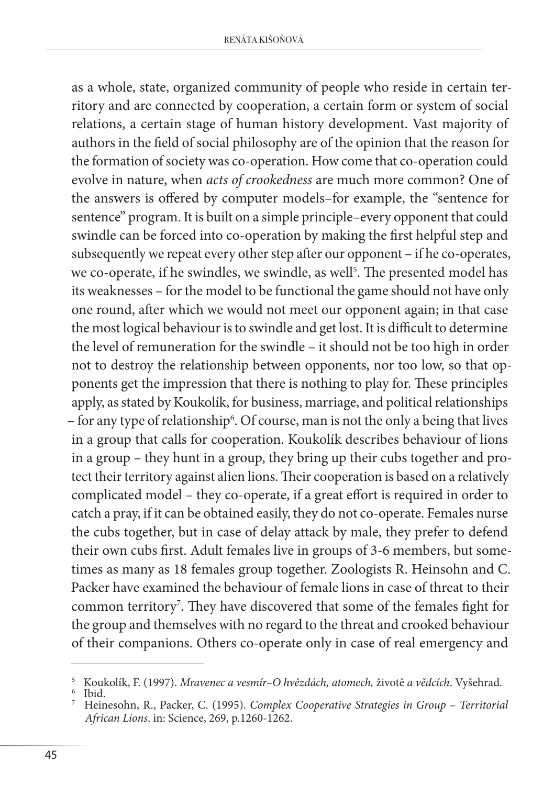as a whole, state, organized community of people who reside in certain territory and are connected by cooperation, a certain form or system of social relations, a certain stage of human history development. Vast majority of authors in the field of social philosophy are of the opinion that the reason for the formation of society was co-operation. How come that co-operation could evolve in nature, when *acts of crookedness* are much more common? One of the answers is offered by computer models–for example, the "sentence for sentence" program. It is built on a simple principle–every opponent that could swindle can be forced into co-operation by making the first helpful step and subsequently we repeat every other step after our opponent – if he co-operates, we co-operate, if he swindles, we swindle, as well<sup>5</sup>. The presented model has its weaknesses – for the model to be functional the game should not have only one round, after which we would not meet our opponent again; in that case the most logical behaviour is to swindle and get lost. It is difficult to determine the level of remuneration for the swindle – it should not be too high in order not to destroy the relationship between opponents, nor too low, so that opponents get the impression that there is nothing to play for. These principles apply, as stated by Koukolík, for business, marriage, and political relationships – for any type of relationship<sup>6</sup>. Of course, man is not the only a being that lives in a group that calls for cooperation. Koukolík describes behaviour of lions in a group – they hunt in a group, they bring up their cubs together and protect their territory against alien lions. Their cooperation is based on a relatively complicated model – they co-operate, if a great effort is required in order to catch a pray, if it can be obtained easily, they do not co-operate. Females nurse the cubs together, but in case of delay attack by male, they prefer to defend their own cubs first. Adult females live in groups of 3-6 members, but sometimes as many as 18 females group together. Zoologists R. Heinsohn and C. Packer have examined the behaviour of female lions in case of threat to their common territory7 . They have discovered that some of the females fight for the group and themselves with no regard to the threat and crooked behaviour of their companions. Others co-operate only in case of real emergency and

<sup>&</sup>lt;sup>5</sup> Koukolík, F. (1997). *Mravenec a vesmír–O hvězdách, atomech, životě a vědcích. Vyšehrad.*<br><sup>6</sup> Ibid.<br><sup>7</sup> Heinesohn, R., Packer, C. (1995). *Complex Cooperative Strategies in Group – Territorial* 

*African Lions*. in: Science, 269, p.1260-1262.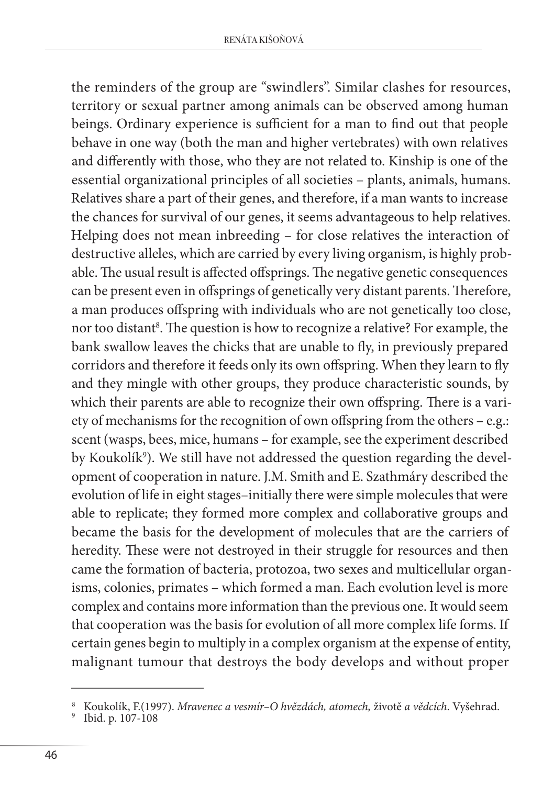the reminders of the group are "swindlers". Similar clashes for resources, territory or sexual partner among animals can be observed among human beings. Ordinary experience is sufficient for a man to find out that people behave in one way (both the man and higher vertebrates) with own relatives and differently with those, who they are not related to. Kinship is one of the essential organizational principles of all societies – plants, animals, humans. Relatives share a part of their genes, and therefore, if a man wants to increase the chances for survival of our genes, it seems advantageous to help relatives. Helping does not mean inbreeding – for close relatives the interaction of destructive alleles, which are carried by every living organism, is highly probable. The usual result is affected offsprings. The negative genetic consequences can be present even in offsprings of genetically very distant parents. Therefore, a man produces offspring with individuals who are not genetically too close, nor too distant<sup>8</sup>. The question is how to recognize a relative? For example, the bank swallow leaves the chicks that are unable to fly, in previously prepared corridors and therefore it feeds only its own offspring. When they learn to fly and they mingle with other groups, they produce characteristic sounds, by which their parents are able to recognize their own offspring. There is a variety of mechanisms for the recognition of own offspring from the others – e.g.: scent (wasps, bees, mice, humans – for example, see the experiment described by Koukolíkº). We still have not addressed the question regarding the development of cooperation in nature. J.M. Smith and E. Szathmáry described the evolution of life in eight stages–initially there were simple molecules that were able to replicate; they formed more complex and collaborative groups and became the basis for the development of molecules that are the carriers of heredity. These were not destroyed in their struggle for resources and then came the formation of bacteria, protozoa, two sexes and multicellular organisms, colonies, primates – which formed a man. Each evolution level is more complex and contains more information than the previous one. It would seem that cooperation was the basis for evolution of all more complex life forms. If certain genes begin to multiply in a complex organism at the expense of entity, malignant tumour that destroys the body develops and without proper

Koukolík, F.(1997). *Mravenec a vesmír*–O hvězdách, atomech, životě a vědcích. Vyšehrad. Ibid. p. 107-108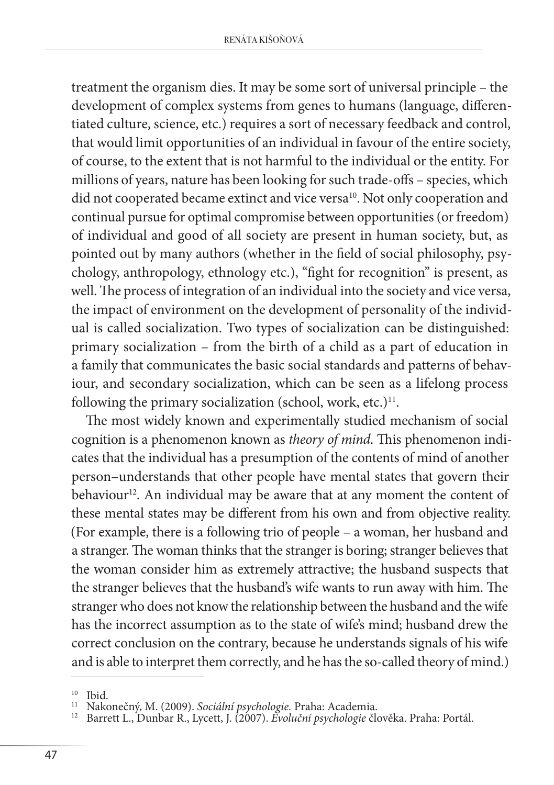treatment the organism dies. It may be some sort of universal principle – the development of complex systems from genes to humans (language, differentiated culture, science, etc.) requires a sort of necessary feedback and control, that would limit opportunities of an individual in favour of the entire society, of course, to the extent that is not harmful to the individual or the entity. For millions of years, nature has been looking for such trade-offs – species, which did not cooperated became extinct and vice versa<sup>10</sup>. Not only cooperation and continual pursue for optimal compromise between opportunities (or freedom) of individual and good of all society are present in human society, but, as pointed out by many authors (whether in the field of social philosophy, psychology, anthropology, ethnology etc.), "fight for recognition" is present, as well. The process of integration of an individual into the society and vice versa, the impact of environment on the development of personality of the individual is called socialization. Two types of socialization can be distinguished: primary socialization – from the birth of a child as a part of education in a family that communicates the basic social standards and patterns of behaviour, and secondary socialization, which can be seen as a lifelong process following the primary socialization (school, work, etc.) $11$ .

The most widely known and experimentally studied mechanism of social cognition is a phenomenon known as *theory of mind*. This phenomenon indicates that the individual has a presumption of the contents of mind of another person–understands that other people have mental states that govern their behaviour<sup>12</sup>. An individual may be aware that at any moment the content of these mental states may be different from his own and from objective reality. (For example, there is a following trio of people – a woman, her husband and a stranger. The woman thinks that the stranger is boring; stranger believes that the woman consider him as extremely attractive; the husband suspects that the stranger believes that the husband's wife wants to run away with him. The stranger who does not know the relationship between the husband and the wife has the incorrect assumption as to the state of wife's mind; husband drew the correct conclusion on the contrary, because he understands signals of his wife and is able to interpret them correctly, and he has the so-called theory of mind.)

<sup>&</sup>lt;sup>10</sup> Ibid.<br><sup>11</sup> Nakonečný, M. (2009). *Sociální psychologie.* Praha: Academia.<br><sup>12</sup> Barrett L., Dunbar R., Lycett, J. (2007). *Evoluční psychologie* člověka. Praha: Portál.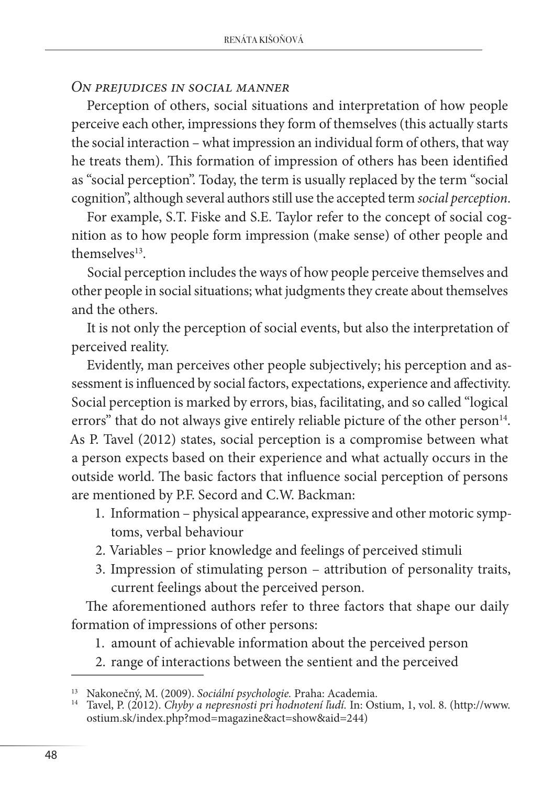## *On prejudices in social manner*

Perception of others, social situations and interpretation of how people perceive each other, impressions they form of themselves (this actually starts the social interaction – what impression an individual form of others, that way he treats them). This formation of impression of others has been identified as "social perception". Today, the term is usually replaced by the term "social cognition", although several authors still use the accepted term *social perception*.

For example, S.T. Fiske and S.E. Taylor refer to the concept of social cognition as to how people form impression (make sense) of other people and themselves13.

Social perception includes the ways of how people perceive themselves and other people in social situations; what judgments they create about themselves and the others.

It is not only the perception of social events, but also the interpretation of perceived reality.

Evidently, man perceives other people subjectively; his perception and assessment is influenced by social factors, expectations, experience and affectivity. Social perception is marked by errors, bias, facilitating, and so called "logical errors" that do not always give entirely reliable picture of the other person<sup>14</sup>. As P. Tavel (2012) states, social perception is a compromise between what a person expects based on their experience and what actually occurs in the outside world. The basic factors that influence social perception of persons are mentioned by P.F. Secord and C.W. Backman:

- 1. Information physical appearance, expressive and other motoric symptoms, verbal behaviour
- 2. Variables prior knowledge and feelings of perceived stimuli
- 3. Impression of stimulating person attribution of personality traits, current feelings about the perceived person.

The aforementioned authors refer to three factors that shape our daily formation of impressions of other persons:

- 1. amount of achievable information about the perceived person
- 2. range of interactions between the sentient and the perceived

<sup>13</sup> Nakonečný, M. (2009). *Sociální psychologie.* Praha: Academia. <sup>14</sup> Tavel, P. (2012). *Chyby a nepresnosti pri hodnotení ľudí.* In: Ostium, 1, vol. 8. (http://www. ostium.sk/index.php?mod=magazine&act=show&aid=244)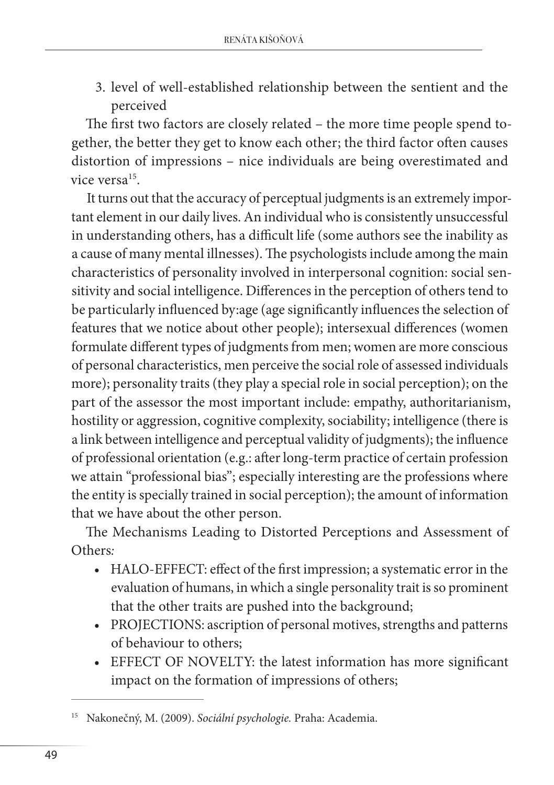3. level of well-established relationship between the sentient and the perceived

The first two factors are closely related – the more time people spend together, the better they get to know each other; the third factor often causes distortion of impressions – nice individuals are being overestimated and vice versa<sup>15</sup>.

It turns out that the accuracy of perceptual judgments is an extremely important element in our daily lives. An individual who is consistently unsuccessful in understanding others, has a difficult life (some authors see the inability as a cause of many mental illnesses). The psychologists include among the main characteristics of personality involved in interpersonal cognition: social sensitivity and social intelligence. Differences in the perception of others tend to be particularly influenced by:age (age significantly influences the selection of features that we notice about other people); intersexual differences (women formulate different types of judgments from men; women are more conscious of personal characteristics, men perceive the social role of assessed individuals more); personality traits (they play a special role in social perception); on the part of the assessor the most important include: empathy, authoritarianism, hostility or aggression, cognitive complexity, sociability; intelligence (there is a link between intelligence and perceptual validity of judgments); the influence of professional orientation (e.g.: after long-term practice of certain profession we attain "professional bias"; especially interesting are the professions where the entity is specially trained in social perception); the amount of information that we have about the other person.

The Mechanisms Leading to Distorted Perceptions and Assessment of Others*:*

- HALO-EFFECT: effect of the first impression; a systematic error in the evaluation of humans, in which a single personality trait is so prominent that the other traits are pushed into the background;
- PROJECTIONS: ascription of personal motives, strengths and patterns of behaviour to others;
- EFFECT OF NOVELTY: the latest information has more significant impact on the formation of impressions of others;

<sup>15</sup> Nakonečný, M. (2009). *Sociální psychologie.* Praha: Academia.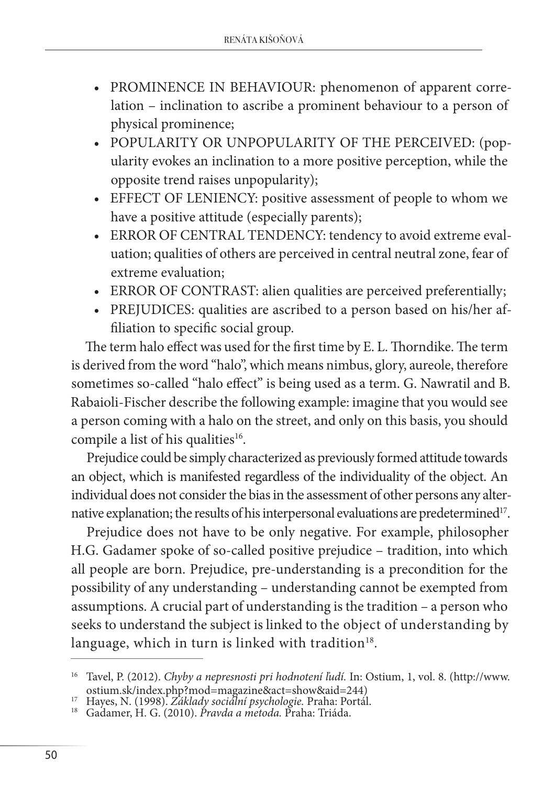- PROMINENCE IN BEHAVIOUR: phenomenon of apparent correlation – inclination to ascribe a prominent behaviour to a person of physical prominence;
- POPULARITY OR UNPOPULARITY OF THE PERCEIVED: (popularity evokes an inclination to a more positive perception, while the opposite trend raises unpopularity);
- EFFECT OF LENIENCY: positive assessment of people to whom we have a positive attitude (especially parents);
- ERROR OF CENTRAL TENDENCY: tendency to avoid extreme evaluation; qualities of others are perceived in central neutral zone, fear of extreme evaluation;
- ERROR OF CONTRAST: alien qualities are perceived preferentially;
- PREJUDICES: qualities are ascribed to a person based on his/her affiliation to specific social group.

The term halo effect was used for the first time by E. L. Thorndike. The term is derived from the word "halo", which means nimbus, glory, aureole, therefore sometimes so-called "halo effect" is being used as a term. G. Nawratil and B. Rabaioli-Fischer describe the following example: imagine that you would see a person coming with a halo on the street, and only on this basis, you should compile a list of his qualities<sup>16</sup>.

Prejudice could be simply characterized as previously formed attitude towards an object, which is manifested regardless of the individuality of the object. An individual does not consider the bias in the assessment of other persons any alternative explanation; the results of his interpersonal evaluations are predetermined<sup>17</sup>.

Prejudice does not have to be only negative. For example, philosopher H.G. Gadamer spoke of so-called positive prejudice – tradition, into which all people are born. Prejudice, pre-understanding is a precondition for the possibility of any understanding – understanding cannot be exempted from assumptions. A crucial part of understanding is the tradition – a person who seeks to understand the subject is linked to the object of understanding by language, which in turn is linked with tradition<sup>18</sup>.

<sup>16</sup> Tavel, P. (2012). *Chyby a nepresnosti pri hodnotení ľudí.* In: Ostium, 1, vol. 8. (http://www. ostium.sk/index.php?mod=magazine&act=show&aid=244) <sup>17</sup> Hayes, N. (1998). *Základy sociální psychologie.* Praha: Portál. <sup>18</sup> Gadamer, H. G. (2010). *Pravda a metoda.* Praha: Triáda.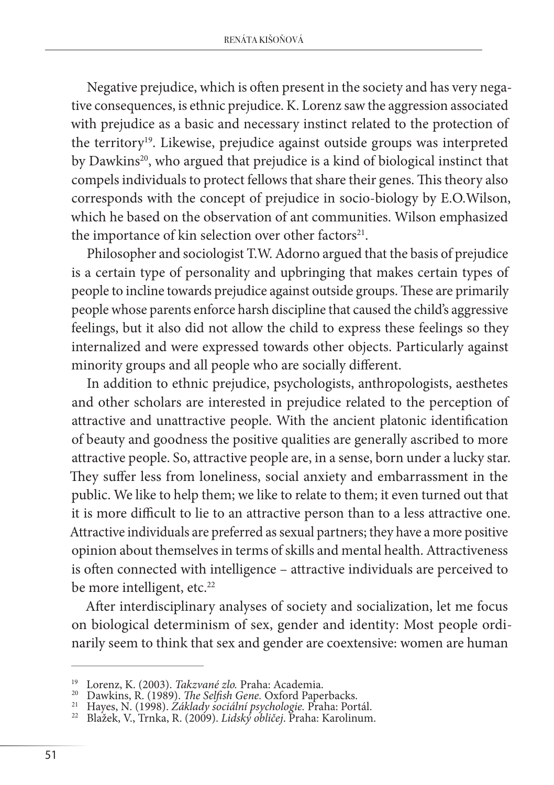Negative prejudice, which is often present in the society and has very negative consequences, is ethnic prejudice. K. Lorenz saw the aggression associated with prejudice as a basic and necessary instinct related to the protection of the territory<sup>19</sup>. Likewise, prejudice against outside groups was interpreted by Dawkins<sup>20</sup>, who argued that prejudice is a kind of biological instinct that compels individuals to protect fellows that share their genes. This theory also corresponds with the concept of prejudice in socio-biology by E.O.Wilson, which he based on the observation of ant communities. Wilson emphasized the importance of kin selection over other factors<sup>21</sup>.

Philosopher and sociologist T.W. Adorno argued that the basis of prejudice is a certain type of personality and upbringing that makes certain types of people to incline towards prejudice against outside groups. These are primarily people whose parents enforce harsh discipline that caused the child's aggressive feelings, but it also did not allow the child to express these feelings so they internalized and were expressed towards other objects. Particularly against minority groups and all people who are socially different.

In addition to ethnic prejudice, psychologists, anthropologists, aesthetes and other scholars are interested in prejudice related to the perception of attractive and unattractive people. With the ancient platonic identification of beauty and goodness the positive qualities are generally ascribed to more attractive people. So, attractive people are, in a sense, born under a lucky star. They suffer less from loneliness, social anxiety and embarrassment in the public. We like to help them; we like to relate to them; it even turned out that it is more difficult to lie to an attractive person than to a less attractive one. Attractive individuals are preferred as sexual partners; they have a more positive opinion about themselves in terms of skills and mental health. Attractiveness is often connected with intelligence – attractive individuals are perceived to be more intelligent, etc.<sup>22</sup>

After interdisciplinary analyses of society and socialization, let me focus on biological determinism of sex, gender and identity: Most people ordinarily seem to think that sex and gender are coextensive: women are human

<sup>&</sup>lt;sup>19</sup> Lorenz, K. (2003). *Takzvané zlo.* Praha: Academia.<br><sup>20</sup> Dawkins, R. (1989). *The Selfish Gene*. Oxford Paperbacks.<br><sup>21</sup> Hayes, N. (1998). Základy sociální psychologie. Praha: Portál.<br><sup>22</sup> Blažek, V., Trnka, R. (2009)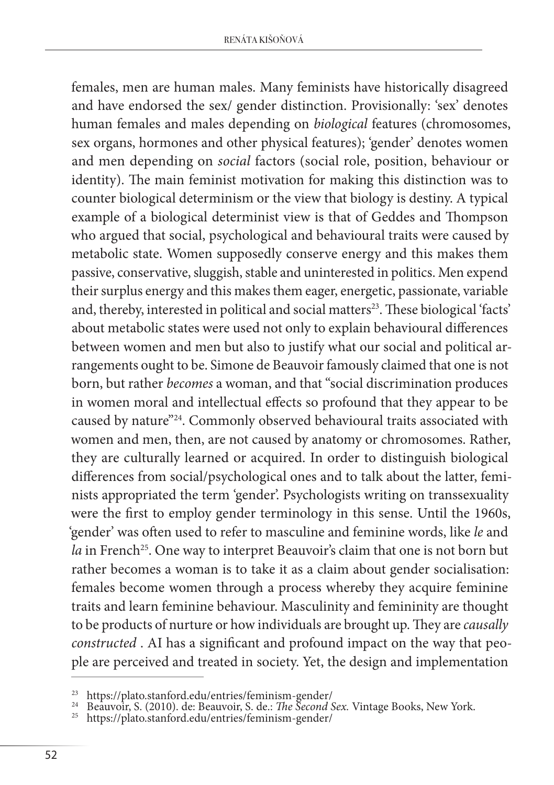females, men are human males. Many feminists have historically disagreed and have endorsed the sex/ gender distinction. Provisionally: 'sex' denotes human females and males depending on *biological* features (chromosomes, sex organs, hormones and other physical features); 'gender' denotes women and men depending on *social* factors (social role, position, behaviour or identity). The main feminist motivation for making this distinction was to counter biological determinism or the view that biology is destiny. A typical example of a biological determinist view is that of Geddes and Thompson who argued that social, psychological and behavioural traits were caused by metabolic state. Women supposedly conserve energy and this makes them passive, conservative, sluggish, stable and uninterested in politics. Men expend their surplus energy and this makes them eager, energetic, passionate, variable and, thereby, interested in political and social matters<sup>23</sup>. These biological 'facts' about metabolic states were used not only to explain behavioural differences between women and men but also to justify what our social and political arrangements ought to be. Simone de Beauvoir famously claimed that one is not born, but rather *becomes* a woman, and that "social discrimination produces in women moral and intellectual effects so profound that they appear to be caused by nature"24. Commonly observed behavioural traits associated with women and men, then, are not caused by anatomy or chromosomes. Rather, they are culturally learned or acquired. In order to distinguish biological differences from social/psychological ones and to talk about the latter, feminists appropriated the term 'gender'. Psychologists writing on transsexuality were the first to employ gender terminology in this sense. Until the 1960s, 'gender' was often used to refer to masculine and feminine words, like *le* and *la* in French<sup>25</sup>. One way to interpret Beauvoir's claim that one is not born but rather becomes a woman is to take it as a claim about gender socialisation: females become women through a process whereby they acquire feminine traits and learn feminine behaviour. Masculinity and femininity are thought to be products of nurture or how individuals are brought up. They are *causally constructed* . AI has a significant and profound impact on the way that people are perceived and treated in society. Yet, the design and implementation

<sup>23</sup> https://plato.stanford.edu/entries/feminism-gender/ <sup>24</sup> Beauvoir, S. (2010). de: Beauvoir, S. de.: *The Second Sex.* Vintage Books, New York. <sup>25</sup> https://plato.stanford.edu/entries/feminism-gender/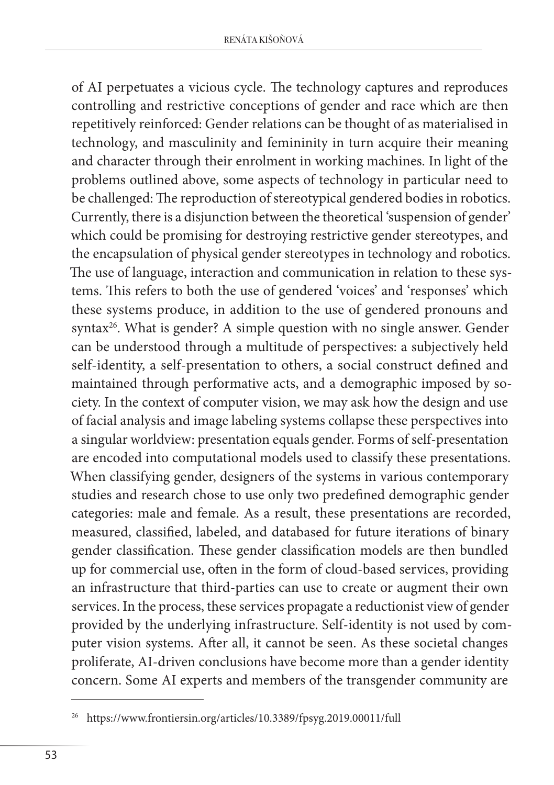of AI perpetuates a vicious cycle. The technology captures and reproduces controlling and restrictive conceptions of gender and race which are then repetitively reinforced: Gender relations can be thought of as materialised in technology, and masculinity and femininity in turn acquire their meaning and character through their enrolment in working machines. In light of the problems outlined above, some aspects of technology in particular need to be challenged: The reproduction of stereotypical gendered bodies in robotics. Currently, there is a disjunction between the theoretical 'suspension of gender' which could be promising for destroying restrictive gender stereotypes, and the encapsulation of physical gender stereotypes in technology and robotics. The use of language, interaction and communication in relation to these systems. This refers to both the use of gendered 'voices' and 'responses' which these systems produce, in addition to the use of gendered pronouns and syntax<sup>26</sup>. What is gender? A simple question with no single answer. Gender can be understood through a multitude of perspectives: a subjectively held self-identity, a self-presentation to others, a social construct defined and maintained through performative acts, and a demographic imposed by society. In the context of computer vision, we may ask how the design and use of facial analysis and image labeling systems collapse these perspectives into a singular worldview: presentation equals gender. Forms of self-presentation are encoded into computational models used to classify these presentations. When classifying gender, designers of the systems in various contemporary studies and research chose to use only two predefined demographic gender categories: male and female. As a result, these presentations are recorded, measured, classified, labeled, and databased for future iterations of binary gender classification. These gender classification models are then bundled up for commercial use, often in the form of cloud-based services, providing an infrastructure that third-parties can use to create or augment their own services. In the process, these services propagate a reductionist view of gender provided by the underlying infrastructure. Self-identity is not used by computer vision systems. After all, it cannot be seen. As these societal changes proliferate, AI-driven conclusions have become more than a gender identity concern. Some AI experts and members of the transgender community are

<sup>26</sup> https://www.frontiersin.org/articles/10.3389/fpsyg.2019.00011/full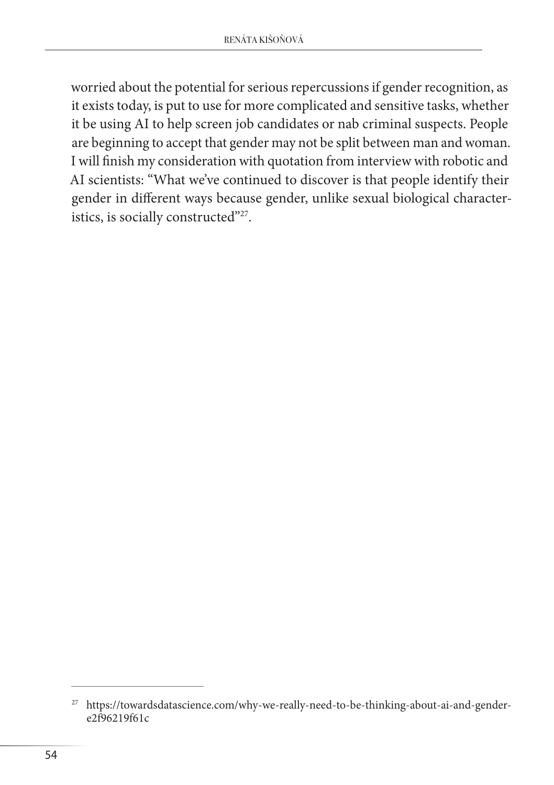worried about the potential for serious repercussions if gender recognition, as it exists today, is put to use for more complicated and sensitive tasks, whether it be using AI to help screen job candidates or nab criminal suspects. People are beginning to accept that gender may not be split between man and woman. I will finish my consideration with quotation from interview with robotic and AI scientists: "What we've continued to discover is that people identify their gender in different ways because gender, unlike sexual biological characteristics, is socially constructed"<sup>27</sup>.

<sup>&</sup>lt;sup>27</sup> https://towardsdatascience.com/why-we-really-need-to-be-thinking-about-ai-and-gender $e2f96219f61c$